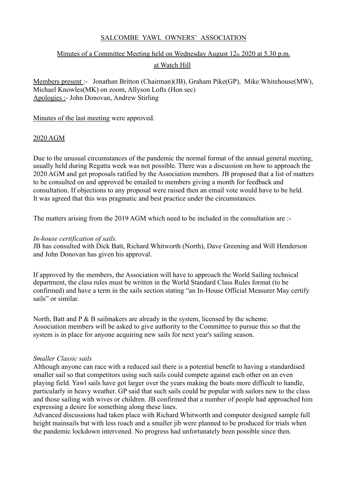# SALCOMBE YAWL OWNERS' ASSOCIATION

## Minutes of a Committee Meeting held on Wednesday August  $12<sub>th</sub>$  2020 at 5.30 p.m.

## at Watch Hill

Members present :- Jonathan Britton (Chairman)(JB), Graham Pike(GP), Mike Whitehouse(MW), Michael Knowles(MK) on zoom, Allyson Lofts (Hon sec) Apologies :- John Donovan, Andrew Stirling

### Minutes of the last meeting were approved.

### 2020 AGM

Due to the unusual circumstances of the pandemic the normal format of the annual general meeting, usually held during Regatta week was not possible. There was a discussion on how to approach the 2020 AGM and get proposals ratified by the Association members. JB proposed that a list of matters to be consulted on and approved be emailed to members giving a month for feedback and consultation. If objections to any proposal were raised then an email vote would have to be held. It was agreed that this was pragmatic and best practice under the circumstances.

The matters arising from the 2019 AGM which need to be included in the consultation are :-

### *In-house certification of sails.*

JB has consulted with Dick Batt, Richard Whitworth (North), Dave Greening and Will Henderson and John Donovan has given his approval.

If approved by the members, the Association will have to approach the World Sailing technical department, the class rules must be written in the World Standard Class Rules format (to be confirmed) and have a term in the sails section stating "an In-House Official Measurer May certify sails" or similar.

North, Batt and  $P \& B$  sailmakers are already in the system, licensed by the scheme. Association members will be asked to give authority to the Committee to pursue this so that the system is in place for anyone acquiring new sails for next year's sailing season.

## *Smaller Classic sails*

Although anyone can race with a reduced sail there is a potential benefit to having a standardised smaller sail so that competitors using such sails could compete against each other on an even playing field. Yawl sails have got larger over the years making the boats more difficult to handle, particularly in heavy weather. GP said that such sails could be popular with sailors new to the class and those sailing with wives or children. JB confirmed that a number of people had approached him expressing a desire for something along these lines.

Advanced discussions had taken place with Richard Whitworth and computer designed sample full height mainsails but with less roach and a smaller jib were planned to be produced for trials when the pandemic lockdown intervened. No progress had unfortunately been possible since then.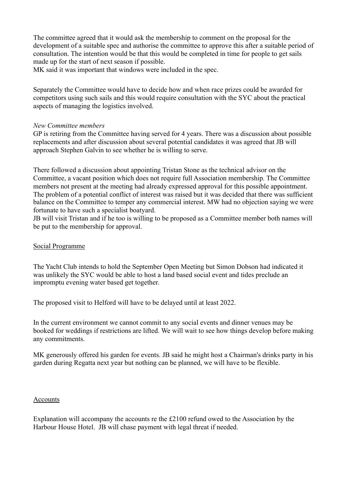The committee agreed that it would ask the membership to comment on the proposal for the development of a suitable spec and authorise the committee to approve this after a suitable period of consultation. The intention would be that this would be completed in time for people to get sails made up for the start of next season if possible.

MK said it was important that windows were included in the spec.

Separately the Committee would have to decide how and when race prizes could be awarded for competitors using such sails and this would require consultation with the SYC about the practical aspects of managing the logistics involved.

#### *New Committee members*

GP is retiring from the Committee having served for 4 years. There was a discussion about possible replacements and after discussion about several potential candidates it was agreed that JB will approach Stephen Galvin to see whether he is willing to serve.

There followed a discussion about appointing Tristan Stone as the technical advisor on the Committee, a vacant position which does not require full Association membership. The Committee members not present at the meeting had already expressed approval for this possible appointment. The problem of a potential conflict of interest was raised but it was decided that there was sufficient balance on the Committee to temper any commercial interest. MW had no objection saying we were fortunate to have such a specialist boatyard.

JB will visit Tristan and if he too is willing to be proposed as a Committee member both names will be put to the membership for approval.

## Social Programme

The Yacht Club intends to hold the September Open Meeting but Simon Dobson had indicated it was unlikely the SYC would be able to host a land based social event and tides preclude an impromptu evening water based get together.

The proposed visit to Helford will have to be delayed until at least 2022.

In the current environment we cannot commit to any social events and dinner venues may be booked for weddings if restrictions are lifted. We will wait to see how things develop before making any commitments.

MK generously offered his garden for events. JB said he might host a Chairman's drinks party in his garden during Regatta next year but nothing can be planned, we will have to be flexible.

#### **Accounts**

Explanation will accompany the accounts re the £2100 refund owed to the Association by the Harbour House Hotel. JB will chase payment with legal threat if needed.